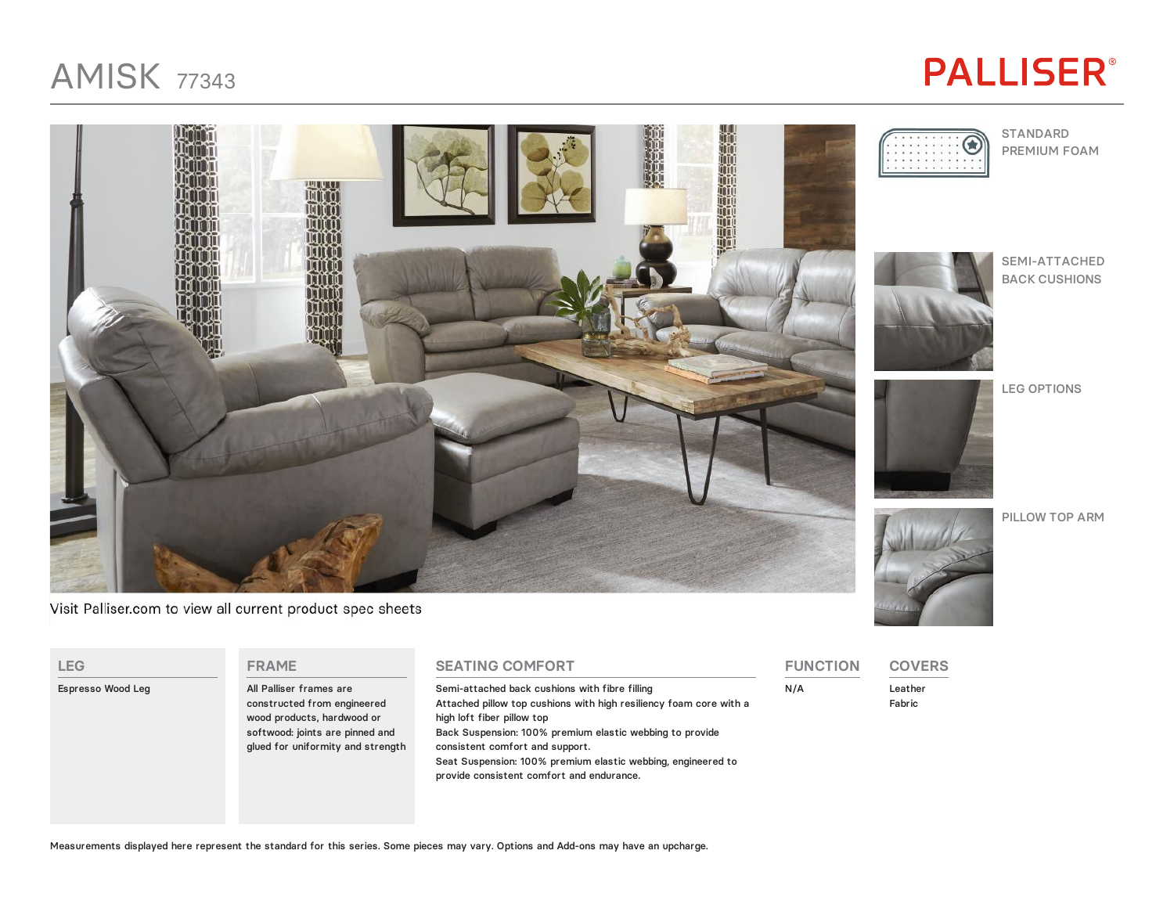### AMISK <sup>77343</sup>

# **PALLISER®**



Visit Palliser.com to view all current product spec sheets

**FRAME**

**LEG**

Espresso Wood Leg







SEMI-ATTACHED BACK CUSHIONS

LEG OPTIONS



PILLOW TOP ARM



**COVERS**

Leather Fabric

**FUNCTION**

N/A

**SEATING COMFORT** Semi-attached back cushions with fibre filling Attached pillow top cushions with high resiliency foam core with a high loft fiber pillow top Back Suspension: 100% premium elastic webbing to provide consistent comfort and support.

Seat Suspension: 100% premium elastic webbing, engineered to provide consistent comfort and endurance.

All Palliser frames are constructed from engineered wood products, hardwood or softwood: joints are pinned and glued for uniformity and strength

| Measurements displayed here represent the standard for this series. Some pieces may vary. Options and Add-ons may have an upcharge. |  |  |  |
|-------------------------------------------------------------------------------------------------------------------------------------|--|--|--|